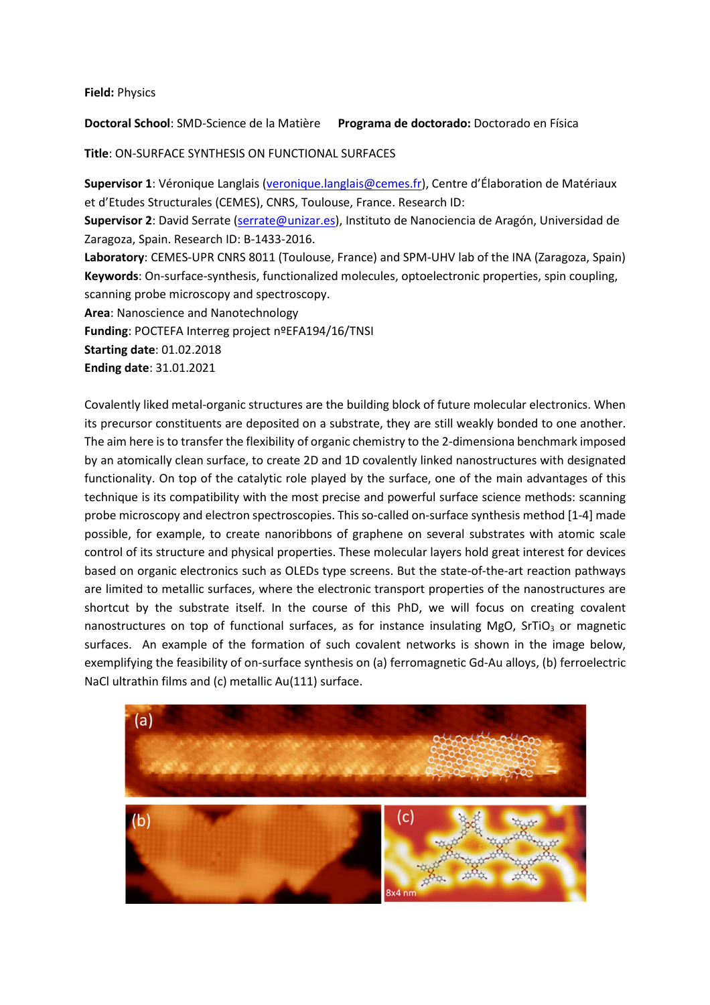## **Field:** Physics

**Doctoral School**: SMD-Science de la Matière **Programa de doctorado:** Doctorado en Física

**Title**: ON-SURFACE SYNTHESIS ON FUNCTIONAL SURFACES

**Supervisor 1**: Véronique Langlais (veronique.langlais@cemes.fr), Centre d'Élaboration de Matériaux et d'Etudes Structurales (CEMES), CNRS, Toulouse, France. Research ID: **Supervisor 2**: David Serrate (serrate@unizar.es), Instituto de Nanociencia de Aragón, Universidad de Zaragoza, Spain. Research ID: B-1433-2016. **Laboratory**: CEMES-UPR CNRS 8011 (Toulouse, France) and SPM-UHV lab of the INA (Zaragoza, Spain) **Keywords**: On-surface-synthesis, functionalized molecules, optoelectronic properties, spin coupling, scanning probe microscopy and spectroscopy. **Area**: Nanoscience and Nanotechnology **Funding**: POCTEFA Interreg project nºEFA194/16/TNSI **Starting date**: 01.02.2018

**Ending date**: 31.01.2021

Covalently liked metal-organic structures are the building block of future molecular electronics. When its precursor constituents are deposited on a substrate, they are still weakly bonded to one another. The aim here is to transfer the flexibility of organic chemistry to the 2-dimensiona benchmark imposed by an atomically clean surface, to create 2D and 1D covalently linked nanostructures with designated functionality. On top of the catalytic role played by the surface, one of the main advantages of this technique is its compatibility with the most precise and powerful surface science methods: scanning probe microscopy and electron spectroscopies. This so-called on-surface synthesis method [1-4] made possible, for example, to create nanoribbons of graphene on several substrates with atomic scale control of its structure and physical properties. These molecular layers hold great interest for devices based on organic electronics such as OLEDs type screens. But the state-of-the-art reaction pathways are limited to metallic surfaces, where the electronic transport properties of the nanostructures are shortcut by the substrate itself. In the course of this PhD, we will focus on creating covalent nanostructures on top of functional surfaces, as for instance insulating MgO, SrTiO $_3$  or magnetic surfaces. An example of the formation of such covalent networks is shown in the image below, exemplifying the feasibility of on-surface synthesis on (a) ferromagnetic Gd-Au alloys, (b) ferroelectric NaCl ultrathin films and (c) metallic Au(111) surface.